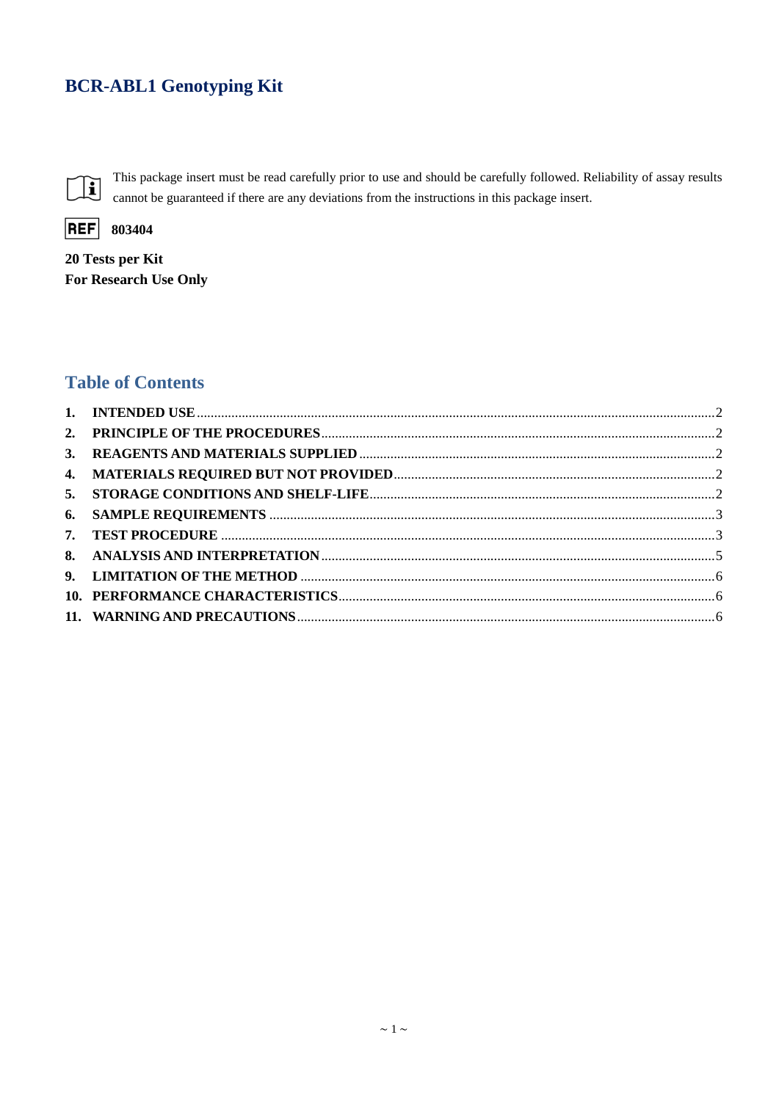# **BCR-ABL1 Genotyping Kit**



This package insert must be read carefully prior to use and should be carefully followed. Reliability of assay results cannot be guaranteed if there are any deviations from the instructions in this package insert.



20 Tests per Kit For Research Use Only

## **Table of Contents**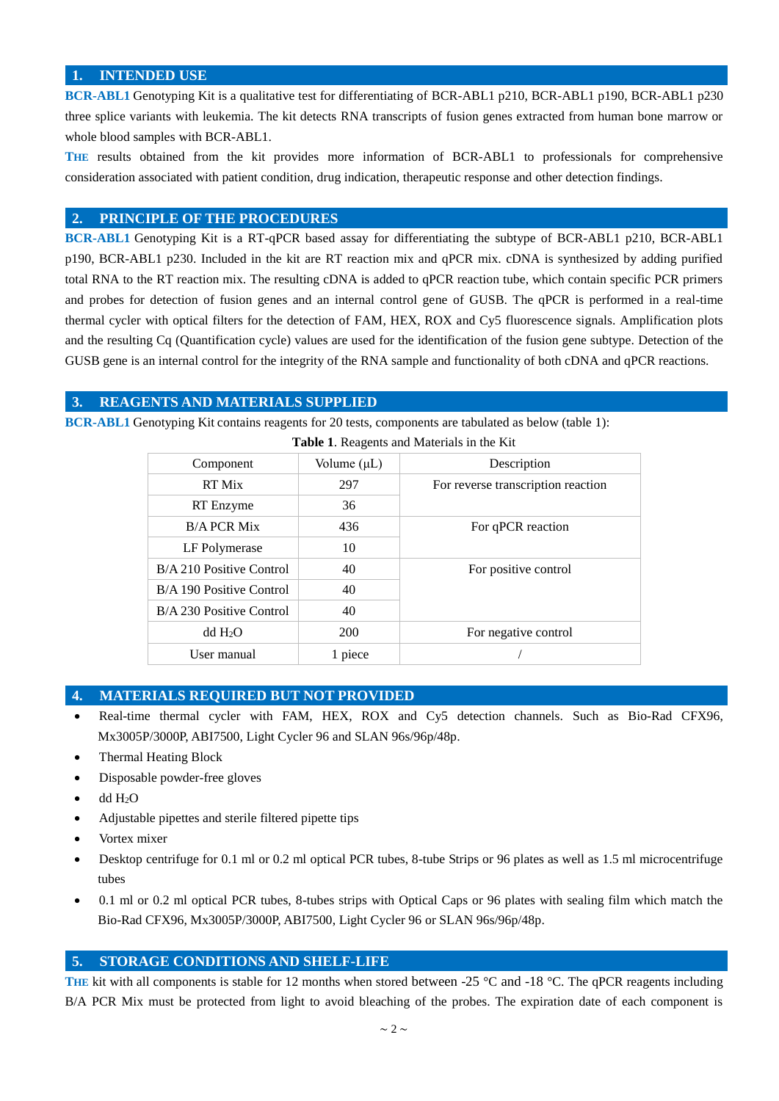## <span id="page-1-0"></span>**1. INTENDED USE**

**BCR-ABL1** Genotyping Kit is a qualitative test for differentiating of BCR-ABL1 p210, BCR-ABL1 p190, BCR-ABL1 p230 three splice variants with leukemia. The kit detects RNA transcripts of fusion genes extracted from human bone marrow or whole blood samples with BCR-ABL1.

**THE** results obtained from the kit provides more information of BCR-ABL1 to professionals for comprehensive consideration associated with patient condition, drug indication, therapeutic response and other detection findings.

## <span id="page-1-1"></span>**2. PRINCIPLE OF THE PROCEDURES**

**BCR-ABL1** Genotyping Kit is a RT-qPCR based assay for differentiating the subtype of BCR-ABL1 p210, BCR-ABL1 p190, BCR-ABL1 p230. Included in the kit are RT reaction mix and qPCR mix. cDNA is synthesized by adding purified total RNA to the RT reaction mix. The resulting cDNA is added to qPCR reaction tube, which contain specific PCR primers and probes for detection of fusion genes and an internal control gene of GUSB. The qPCR is performed in a real-time thermal cycler with optical filters for the detection of FAM, HEX, ROX and Cy5 fluorescence signals. Amplification plots and the resulting Cq (Quantification cycle) values are used for the identification of the fusion gene subtype. Detection of the GUSB gene is an internal control for the integrity of the RNA sample and functionality of both cDNA and qPCR reactions.

## <span id="page-1-2"></span>**3. REAGENTS AND MATERIALS SUPPLIED**

**BCR-ABL1** Genotyping Kit contains reagents for 20 tests, components are tabulated as below (table 1):

| <b>Table 1.</b> Keagems and <i>Materials</i> in the Kit |                  |                                    |  |  |  |
|---------------------------------------------------------|------------------|------------------------------------|--|--|--|
| Component                                               | Volume $(\mu L)$ | Description                        |  |  |  |
| RT Mix                                                  | 297              | For reverse transcription reaction |  |  |  |
| RT Enzyme                                               | 36               |                                    |  |  |  |
| <b>B/A PCR Mix</b>                                      | 436              | For qPCR reaction                  |  |  |  |
| LF Polymerase                                           | 10               |                                    |  |  |  |
| B/A 210 Positive Control                                | 40               | For positive control               |  |  |  |
| B/A 190 Positive Control                                | 40               |                                    |  |  |  |
| B/A 230 Positive Control                                | 40               |                                    |  |  |  |
| dd H <sub>2</sub> O                                     | 200              | For negative control               |  |  |  |
| User manual                                             | 1 piece          |                                    |  |  |  |

 **Table 1**. Reagents and Materials in the Kit

## <span id="page-1-3"></span>**4. MATERIALS REQUIRED BUT NOT PROVIDED**

- Real-time thermal cycler with FAM, HEX, ROX and Cy5 detection channels. Such as Bio-Rad CFX96, Mx3005P/3000P, ABI7500, Light Cycler 96 and SLAN 96s/96p/48p.
- Thermal Heating Block
- Disposable powder-free gloves
- $\bullet$  dd  $H_2O$
- Adjustable pipettes and sterile filtered pipette tips
- Vortex mixer
- Desktop centrifuge for 0.1 ml or 0.2 ml optical PCR tubes, 8-tube Strips or 96 plates as well as 1.5 ml microcentrifuge tubes
- 0.1 ml or 0.2 ml optical PCR tubes, 8-tubes strips with Optical Caps or 96 plates with sealing film which match the Bio-Rad CFX96, Mx3005P/3000P, ABI7500, Light Cycler 96 or SLAN 96s/96p/48p.

## <span id="page-1-4"></span>**5. STORAGE CONDITIONS AND SHELF-LIFE**

**THE** kit with all components is stable for 12 months when stored between -25  $\degree$ C and -18  $\degree$ C. The qPCR reagents including B/A PCR Mix must be protected from light to avoid bleaching of the probes. The expiration date of each component is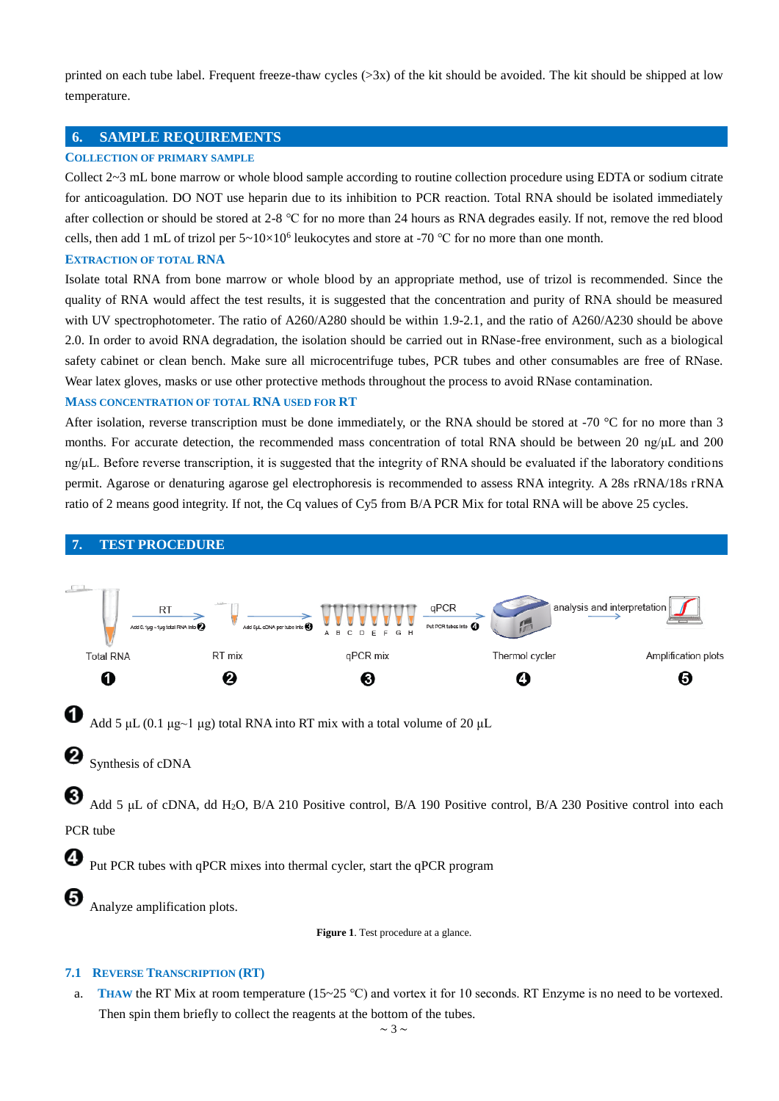printed on each tube label. Frequent freeze-thaw cycles  $(>\frac{3x}{x})$  of the kit should be avoided. The kit should be shipped at low temperature.

## <span id="page-2-0"></span>**6. SAMPLE REQUIREMENTS**

#### **COLLECTION OF PRIMARY SAMPLE**

Collect 2~3 mL bone marrow or whole blood sample according to routine collection procedure using EDTA or sodium citrate for anticoagulation. DO NOT use heparin due to its inhibition to PCR reaction. Total RNA should be isolated immediately after collection or should be stored at 2-8 ℃ for no more than 24 hours as RNA degrades easily. If not, remove the red blood cells, then add 1 mL of trizol per  $5 \times 10 \times 10^6$  leukocytes and store at -70 °C for no more than one month.

#### **EXTRACTION OF TOTAL RNA**

<span id="page-2-1"></span>**7. TEST PROCEDURE**

Isolate total RNA from bone marrow or whole blood by an appropriate method, use of trizol is recommended. Since the quality of RNA would affect the test results, it is suggested that the concentration and purity of RNA should be measured with UV spectrophotometer. The ratio of A260/A280 should be within 1.9-2.1, and the ratio of A260/A230 should be above 2.0. In order to avoid RNA degradation, the isolation should be carried out in RNase-free environment, such as a biological safety cabinet or clean bench. Make sure all microcentrifuge tubes, PCR tubes and other consumables are free of RNase. Wear latex gloves, masks or use other protective methods throughout the process to avoid RNase contamination.

#### **MASS CONCENTRATION OF TOTAL RNA USED FOR RT**

After isolation, reverse transcription must be done immediately, or the RNA should be stored at -70  $\degree$ C for no more than 3 months. For accurate detection, the recommended mass concentration of total RNA should be between 20 ng/ $\mu$ L and 200 ng/μL. Before reverse transcription, it is suggested that the integrity of RNA should be evaluated if the laboratory conditions permit. Agarose or denaturing agarose gel electrophoresis is recommended to assess RNA integrity. A 28s rRNA/18s rRNA ratio of 2 means good integrity. If not, the Cq values of Cy5 from B/A PCR Mix for total RNA will be above 25 cycles.



**Figure 1**. Test procedure at a glance.

#### **7.1 REVERSE TRANSCRIPTION (RT)**

a. **THAW** the RT Mix at room temperature ( $15~25$  °C) and vortex it for 10 seconds. RT Enzyme is no need to be vortexed. Then spin them briefly to collect the reagents at the bottom of the tubes.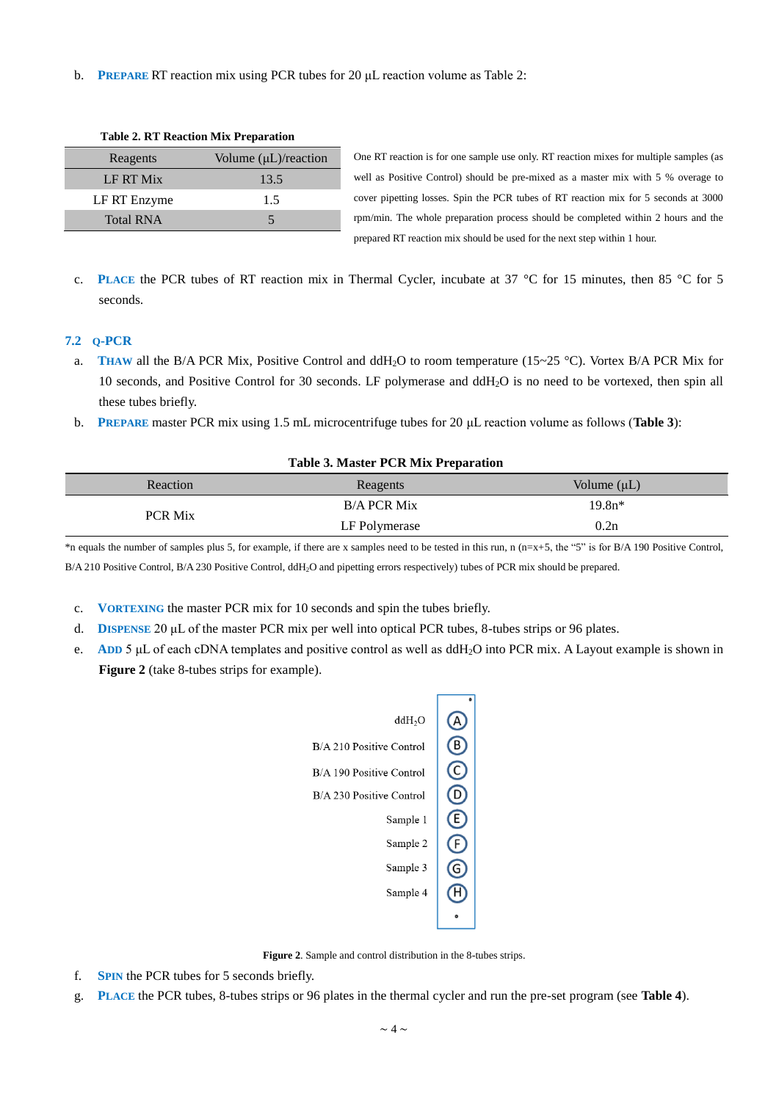b. **PREPARE** RT reaction mix using PCR tubes for 20 μL reaction volume as Table 2:

| Table 2. KT Reaction MIX FTeparation |                                  |  |
|--------------------------------------|----------------------------------|--|
| Reagents                             | Volume $(\mu L)/\text{reaction}$ |  |
| LF RT Mix                            | 13.5                             |  |
| LF RT Enzyme                         | 1.5                              |  |
| <b>Total RNA</b>                     |                                  |  |

**Table 2. RT Reaction Mix Preparation**

One RT reaction is for one sample use only. RT reaction mixes for multiple samples (as well as Positive Control) should be pre-mixed as a master mix with 5 % overage to cover pipetting losses. Spin the PCR tubes of RT reaction mix for 5 seconds at 3000 rpm/min. The whole preparation process should be completed within 2 hours and the prepared RT reaction mix should be used for the next step within 1 hour.

c. **PLACE** the PCR tubes of RT reaction mix in Thermal Cycler, incubate at 37  $\degree$ C for 15 minutes, then 85  $\degree$ C for 5 seconds.

## **7.2 Q-PCR**

- a. **THAW** all the B/A PCR Mix, Positive Control and ddH<sub>2</sub>O to room temperature (15~25 °C). Vortex B/A PCR Mix for 10 seconds, and Positive Control for 30 seconds. LF polymerase and ddH2O is no need to be vortexed, then spin all these tubes briefly.
- b. **PREPARE** master PCR mix using 1.5 mL microcentrifuge tubes for 20 μL reaction volume as follows (**Table 3**):

| <b>Table 3. Master PCR Mix Preparation</b> |                    |                  |  |  |
|--------------------------------------------|--------------------|------------------|--|--|
| Reaction                                   | Reagents           | Volume $(\mu L)$ |  |  |
| <b>PCR Mix</b>                             | <b>B/A PCR Mix</b> | $19.8n*$         |  |  |
|                                            | LF Polymerase      | 0.2n             |  |  |

\*n equals the number of samples plus 5, for example, if there are x samples need to be tested in this run, n (n=x+5, the "5" is for B/A 190 Positive Control, B/A 210 Positive Control, B/A 230 Positive Control, ddH2O and pipetting errors respectively) tubes of PCR mix should be prepared.

- c. **VORTEXING** the master PCR mix for 10 seconds and spin the tubes briefly.
- d. **DISPENSE** 20 μL of the master PCR mix per well into optical PCR tubes, 8-tubes strips or 96 plates.
- e. **ADD** 5 μL of each cDNA templates and positive control as well as ddH2O into PCR mix. A Layout example is shown in **Figure 2** (take 8-tubes strips for example).



**Figure 2**. Sample and control distribution in the 8-tubes strips.

- f. **SPIN** the PCR tubes for 5 seconds briefly.
- g. **PLACE** the PCR tubes, 8-tubes strips or 96 plates in the thermal cycler and run the pre-set program (see **Table 4**).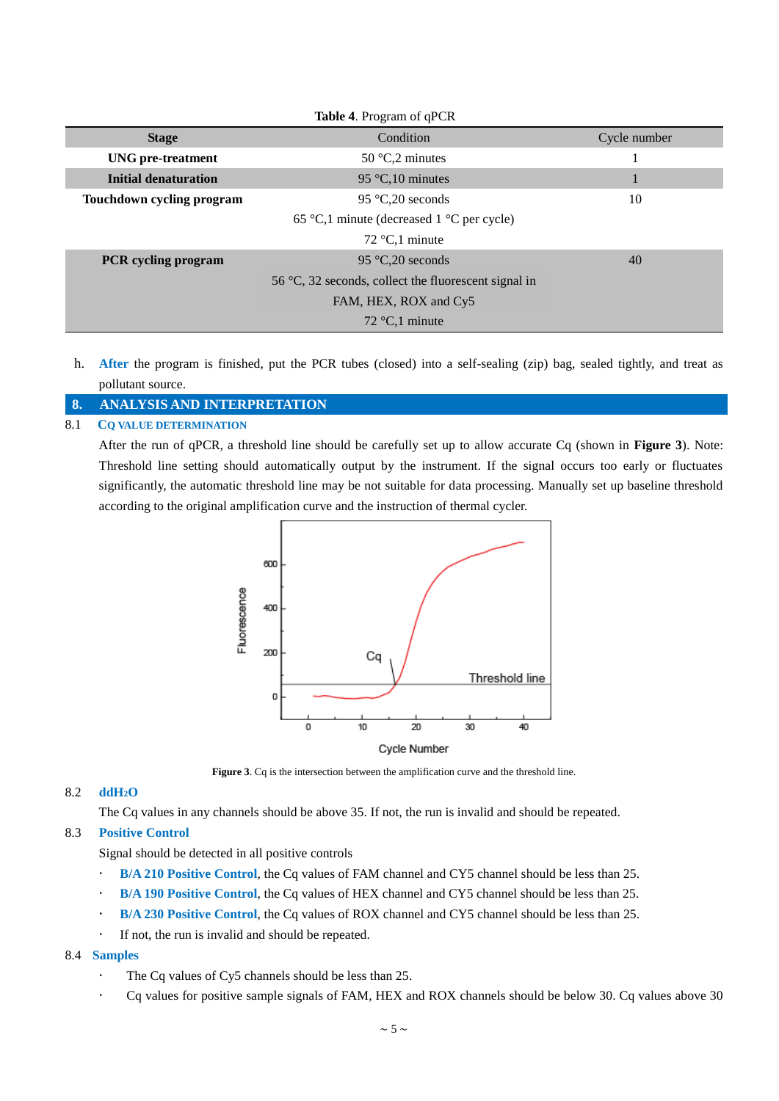| Table 4. Program of qPCR  |                                                      |              |  |  |
|---------------------------|------------------------------------------------------|--------------|--|--|
| <b>Stage</b>              | Condition                                            | Cycle number |  |  |
| <b>UNG</b> pre-treatment  | 50 $C2$ minutes                                      |              |  |  |
| Initial denaturation      | 95 $\mathbb{C}$ , 10 minutes                         |              |  |  |
| Touchdown cycling program | 95 $C_{0}20$ seconds                                 | 10           |  |  |
|                           | 65 °C,1 minute (decreased 1 °C per cycle)            |              |  |  |
|                           | 72 $C$ , 1 minute                                    |              |  |  |
| PCR cycling program       | 95 °C, 20 seconds                                    | 40           |  |  |
|                           | 56 °C, 32 seconds, collect the fluorescent signal in |              |  |  |
|                           | FAM, HEX, ROX and Cy5                                |              |  |  |
|                           | 72 $\mathbb{C}$ ,1 minute                            |              |  |  |

h. **After** the program is finished, put the PCR tubes (closed) into a self-sealing (zip) bag, sealed tightly, and treat as pollutant source.

## <span id="page-4-0"></span>**8. ANALYSIS AND INTERPRETATION**

## 8.1 **CQ VALUE DETERMINATION**

After the run of qPCR, a threshold line should be carefully set up to allow accurate Cq (shown in **Figure 3**). Note: Threshold line setting should automatically output by the instrument. If the signal occurs too early or fluctuates significantly, the automatic threshold line may be not suitable for data processing. Manually set up baseline threshold according to the original amplification curve and the instruction of thermal cycler.



**Figure 3**. Cq is the intersection between the amplification curve and the threshold line.

#### 8.2 **ddH2O**

The Cq values in any channels should be above 35. If not, the run is invalid and should be repeated.

#### 8.3 **Positive Control**

Signal should be detected in all positive controls

- **B/A 210 Positive Control**, the Cq values of FAM channel and CY5 channel should be less than 25.
- **B/A 190 Positive Control**, the Cq values of HEX channel and CY5 channel should be less than 25.
- **B/A 230 Positive Control**, the Cq values of ROX channel and CY5 channel should be less than 25.
- If not, the run is invalid and should be repeated.

## 8.4 **Samples**

- The Cq values of Cy5 channels should be less than 25.
- Cq values for positive sample signals of FAM, HEX and ROX channels should be below 30. Cq values above 30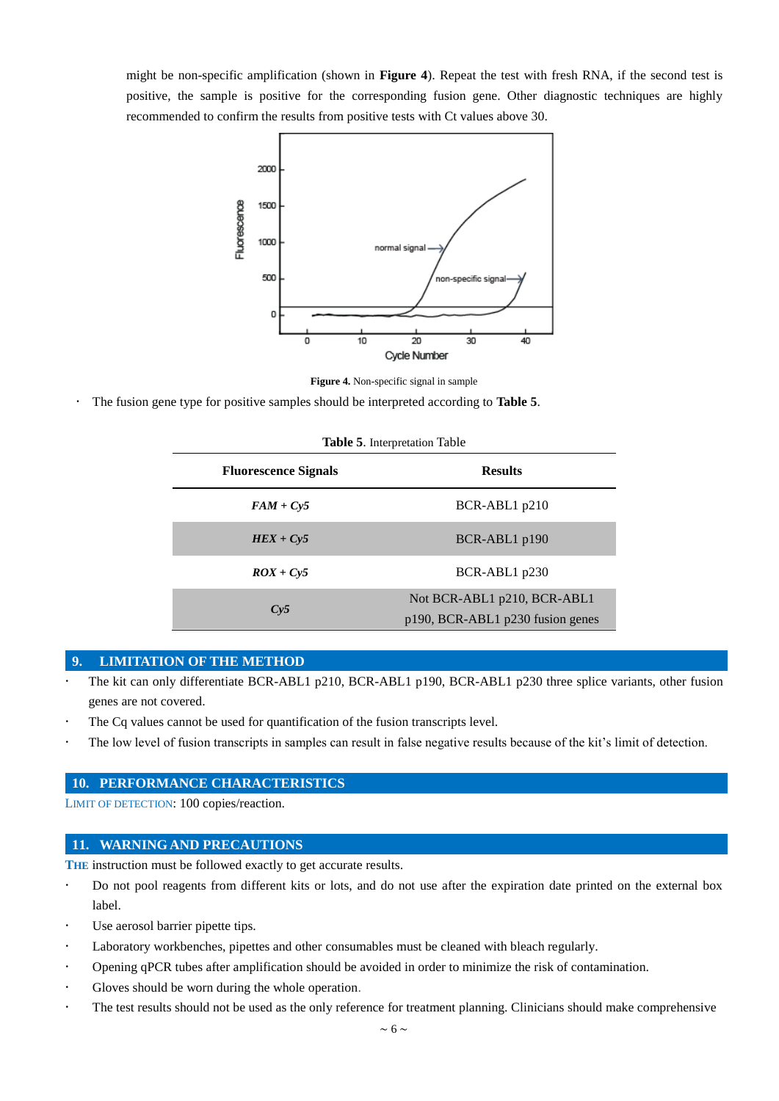might be non-specific amplification (shown in **Figure 4**). Repeat the test with fresh RNA, if the second test is positive, the sample is positive for the corresponding fusion gene. Other diagnostic techniques are highly recommended to confirm the results from positive tests with Ct values above 30.



**Figure 4.** Non-specific signal in sample

The fusion gene type for positive samples should be interpreted according to **Table 5**.

| <b>Table 5.</b> Interpretation Table |                                                                 |  |
|--------------------------------------|-----------------------------------------------------------------|--|
| <b>Fluorescence Signals</b>          | <b>Results</b>                                                  |  |
| $FAM + Cy5$                          | BCR-ABL1 p210                                                   |  |
| $HEX + Cy5$                          | BCR-ABL1 p190                                                   |  |
| $ROX + Cv5$                          | BCR-ABL1 p230                                                   |  |
| Cy5                                  | Not BCR-ABL1 p210, BCR-ABL1<br>p190, BCR-ABL1 p230 fusion genes |  |

#### <span id="page-5-0"></span>**9. LIMITATION OF THE METHOD**

- The kit can only differentiate BCR-ABL1 p210, BCR-ABL1 p190, BCR-ABL1 p230 three splice variants, other fusion genes are not covered.
- The Cq values cannot be used for quantification of the fusion transcripts level.
- The low level of fusion transcripts in samples can result in false negative results because of the kit's limit of detection.

## <span id="page-5-1"></span>**10. PERFORMANCE CHARACTERISTICS**

LIMIT OF DETECTION: 100 copies/reaction.

#### <span id="page-5-2"></span>**11. WARNING AND PRECAUTIONS**

THE instruction must be followed exactly to get accurate results.

- Do not pool reagents from different kits or lots, and do not use after the expiration date printed on the external box label.
- Use aerosol barrier pipette tips.
- Laboratory workbenches, pipettes and other [consumables](app:ds:consumables) must be cleaned with bleach regularly.
- Opening qPCR tubes after amplification should be avoided in order to minimize the risk of contamination.
- Gloves should be worn during the whole operation.
- The test results should not be used as the only reference for treatment planning. Clinicians should make comprehensive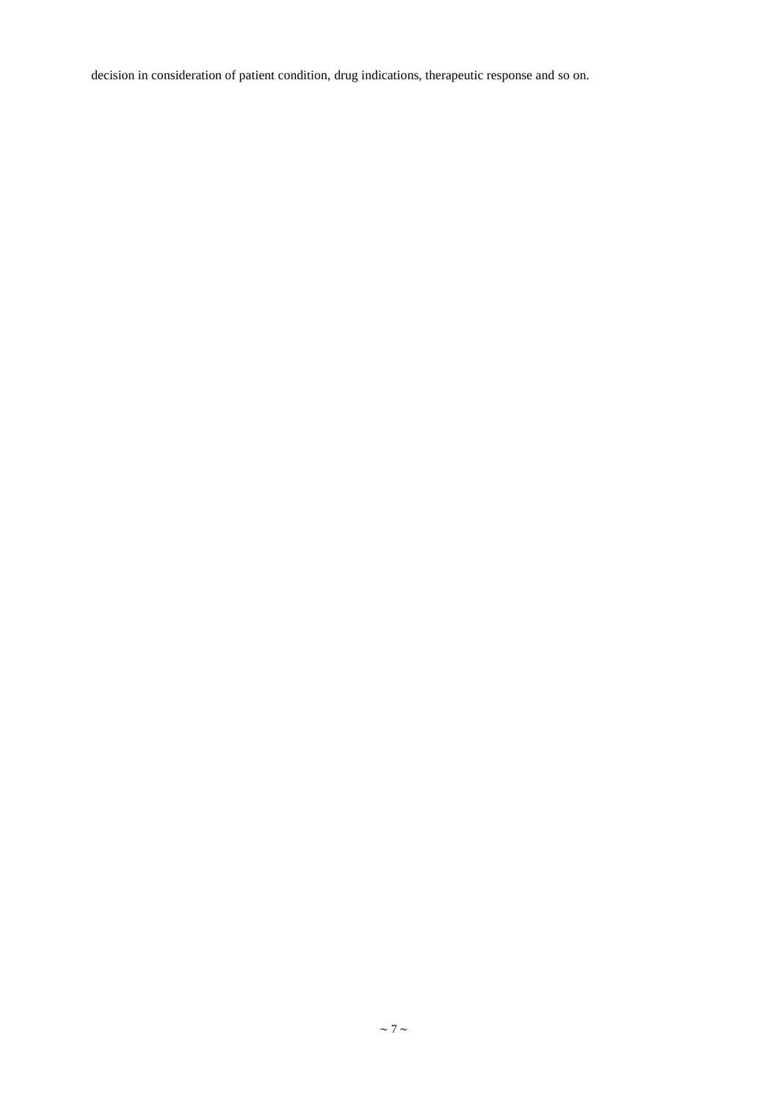decision in consideration of patient condition, drug indications, therapeutic response and so on.